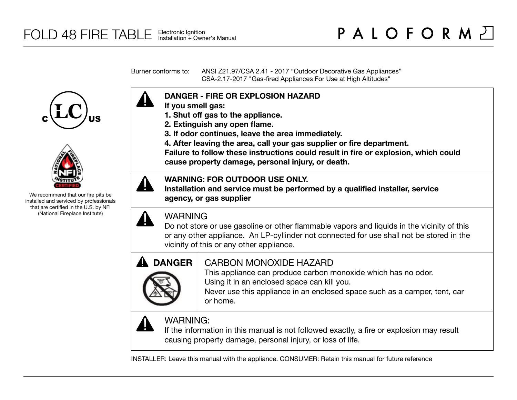Burner conforms to: ANSI Z21.97/CSA 2.41 - 2017 "Outdoor Decorative Gas Appliances" CSA-2.17-2017 "Gas-fired Appliances For Use at High Altitudes"





We recommend that our fire pits be installed and serviced by professionals that are certified in the U.S. by NFI (National Fireplace Institute)



- **If you smell gas:**
- **1. Shut off gas to the appliance.**
- **2. Extinguish any open flame.**
- **3. If odor continues, leave the area immediately.**
- **4. After leaving the area, call your gas supplier or fire department.**

**Failure to follow these instructions could result in fire or explosion, which could cause property damage, personal injury, or death.**

# **WARNING: FOR OUTDOOR USE ONLY.**

**Installation and service must be performed by a qualified installer, service agency, or gas supplier**

# WARNING

Do not store or use gasoline or other flammable vapors and liquids in the vicinity of this or any other appliance. An LP-cyllinder not connected for use shall not be stored in the vicinity of this or any other appliance.



# CARBON MONOXIDE HAZARD

This appliance can produce carbon monoxide which has no odor. Using it in an enclosed space can kill you.

Never use this appliance in an enclosed space such as a camper, tent, car or home.



# WARNING:

If the information in this manual is not followed exactly, a fire or explosion may result causing property damage, personal injury, or loss of life.

INSTALLER: Leave this manual with the appliance. CONSUMER: Retain this manual for future reference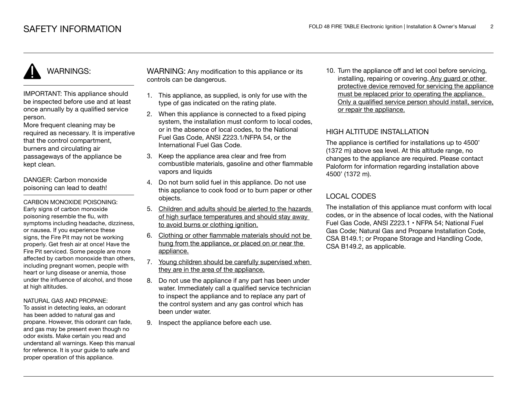IMPORTANT: This appliance should be inspected before use and at least once annually by a qualified service person.

More frequent cleaning may be required as necessary. It is imperative that the control compartment, burners and circulating air passageways of the appliance be kept clean.

DANGER: Carbon monoxide poisoning can lead to death!

CARBON MONOXIDE POISONING: Early signs of carbon monoxide poisoning resemble the flu, with symptoms including headache, dizziness, or nausea. If you experience these signs, the Fire Pit may not be working properly. Get fresh air at once! Have the Fire Pit serviced. Some people are more affected by carbon monoxide than others, including pregnant women, people with heart or lung disease or anemia, those under the influence of alcohol, and those at high altitudes.

#### NATURAL GAS AND PROPANE:

To assist in detecting leaks, an odorant has been added to natural gas and propane. However, this odorant can fade, and gas may be present even though no odor exists. Make certain you read and understand all warnings. Keep this manual for reference. It is your guide to safe and proper operation of this appliance.

WARNING: Any modification to this appliance or its controls can be dangerous.

- 1. This appliance, as supplied, is only for use with the type of gas indicated on the rating plate.
- 2. When this appliance is connected to a fixed piping system, the installation must conform to local codes. or in the absence of local codes, to the National Fuel Gas Code, ANSI Z223.1/NFPA 54, or the International Fuel Gas Code.
- 3. Keep the appliance area clear and free from combustible materials, gasoline and other flammable vapors and liquids
- 4. Do not burn solid fuel in this appliance. Do not use this appliance to cook food or to burn paper or other objects.
- 5. Children and adults should be alerted to the hazards of high surface temperatures and should stay away to avoid burns or clothing ignition.
- 6. Clothing or other flammable materials should not be hung from the appliance, or placed on or near the appliance.
- 7. Young children should be carefully supervised when they are in the area of the appliance.
- 8. Do not use the appliance if any part has been under water. Immediately call a qualified service technician to inspect the appliance and to replace any part of the control system and any gas control which has been under water.
- 9. Inspect the appliance before each use.

10. Turn the appliance off and let cool before servicing, installing, repairing or covering. Any guard or other protective device removed for servicing the appliance must be replaced prior to operating the appliance. Only a qualified service person should install, service, or repair the appliance.

# HIGH ALTITUDE INSTALLATION

The appliance is certified for installations up to 4500' (1372 m) above sea level. At this altitude range, no changes to the appliance are required. Please contact Paloform for information regarding installation above 4500' (1372 m).

# LOCAL CODES

The installation of this appliance must conform with local codes, or in the absence of local codes, with the National Fuel Gas Code, ANSI Z223.1 • NFPA 54; National Fuel Gas Code; Natural Gas and Propane Installation Code, CSA B149.1; or Propane Storage and Handling Code, CSA B149.2, as applicable.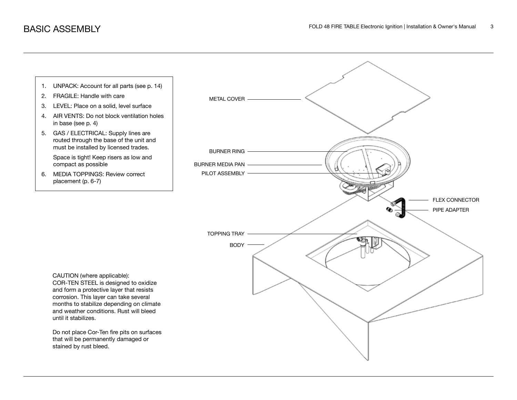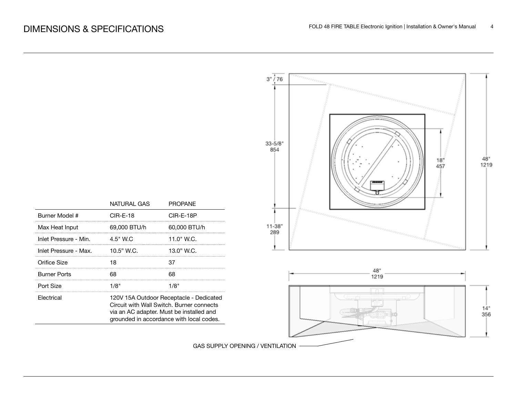Burner Model # Max Heat Input

Orifice Size **Burner Ports** Port Size Electrical

Inlet Pressure - Min. Inlet Pressure - Max.

|                                |                                                                                                                                                                              | 3" / 76<br>PPPPPPPPPPPPP              |             |
|--------------------------------|------------------------------------------------------------------------------------------------------------------------------------------------------------------------------|---------------------------------------|-------------|
| NATURAL GAS<br><b>CIR-E-18</b> | PROPANE<br>CIR-E-18P                                                                                                                                                         | $33 - 5/8$<br>854<br>$\frac{18}{457}$ | 48"<br>1219 |
| 69,000 BTU/h                   | 60,000 BTU/h                                                                                                                                                                 | $11 - 38"$                            |             |
| 4.5" W.C                       | 11.0" W.C.                                                                                                                                                                   | 289                                   |             |
| 10.5" W.C.                     | 13.0" W.C.                                                                                                                                                                   |                                       |             |
| 18                             | 37                                                                                                                                                                           |                                       |             |
| 68                             | 68                                                                                                                                                                           | 48"<br>1219                           |             |
| 1/8"                           | 1/8"                                                                                                                                                                         | $\Box$                                |             |
|                                | 120V 15A Outdoor Receptacle - Dedicated<br>Circuit with Wall Switch. Burner connects<br>via an AC adapter. Must be installed and<br>grounded in accordance with local codes. |                                       | 14"<br>356  |
|                                |                                                                                                                                                                              |                                       |             |

GAS SUPPLY OPENING / VENTILATION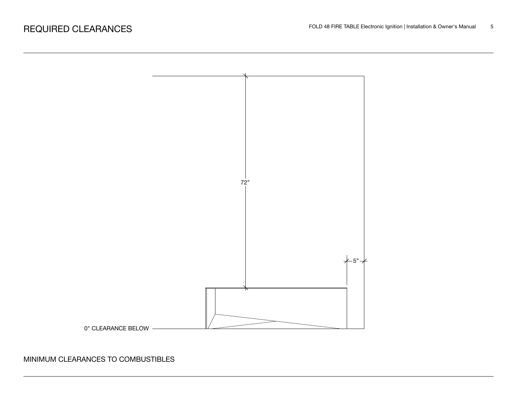

# MINIMUM CLEARANCES TO COMBUSTIBLES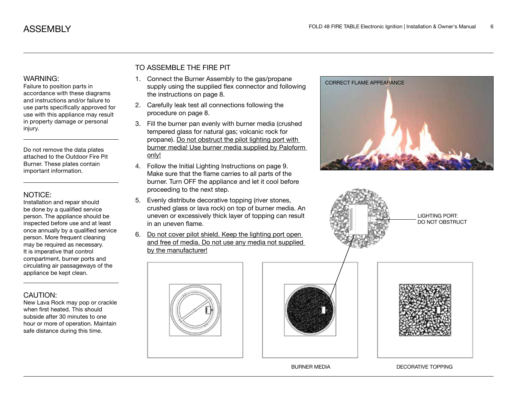Failure to position parts in accordance with these diagrams and instructions and/or failure to use parts specifically approved for use with this appliance may result in property damage or personal injury.

Do not remove the data plates attached to the Outdoor Fire Pit Burner. These plates contain important information.

#### NOTICE:

Installation and repair should be done by a qualified service person. The appliance should be inspected before use and at least once annually by a qualified service person. More frequent cleaning may be required as necessary. It is imperative that control compartment, burner ports and circulating air passageways of the appliance be kept clean.

# CAUTION:

New Lava Rock may pop or crackle when first heated. This should subside after 30 minutes to one hour or more of operation. Maintain safe distance during this time.

# TO ASSEMBLE THE FIRE PIT

- 1. Connect the Burner Assembly to the gas/propane supply using the supplied flex connector and following the instructions on page 8.
- 2. Carefully leak test all connections following the procedure on page 8.
- 3. Fill the burner pan evenly with burner media (crushed tempered glass for natural gas; volcanic rock for propane). Do not obstruct the pilot lighting port with burner media! Use burner media supplied by Paloform only!
- 4. Follow the Initial Lighting Instructions on page 9. Make sure that the flame carries to all parts of the burner. Turn OFF the appliance and let it cool before proceeding to the next step.
- 5. Evenly distribute decorative topping (river stones, crushed glass or lava rock) on top of burner media. An uneven or excessively thick layer of topping can result in an uneven flame.
- 6. Do not cover pilot shield. Keep the lighting port open and free of media. Do not use any media not supplied by the manufacturer!









CORRECT FLAME APPEARANCE

LIGHTING PORT: DO NOT OBSTRUCT



BURNER MEDIA DECORATIVE TOPPING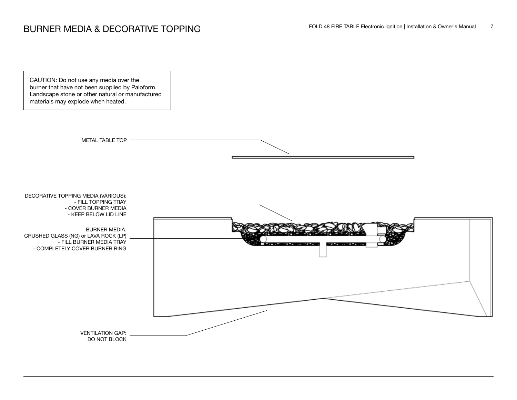



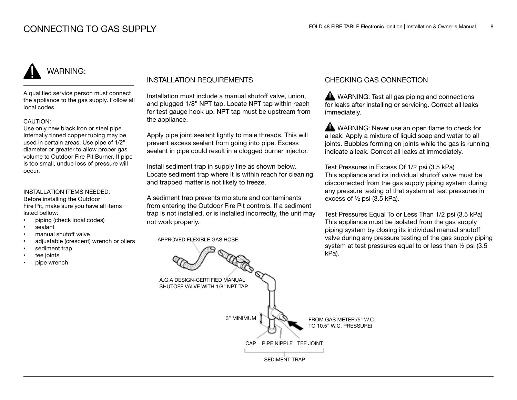A qualified service person must connect the appliance to the gas supply. Follow all local codes.

#### CAUTION:

Use only new black iron or steel pipe. Internally tinned copper tubing may be used in certain areas. Use pipe of 1/2" diameter or greater to allow proper gas volume to Outdoor Fire Pit Burner. If pipe is too small, undue loss of pressure will occur.

### INSTALLATION ITEMS NEEDED:

Before installing the Outdoor Fire Pit, make sure you have all items listed bellow:

- piping (check local codes)
- sealant
- manual shutoff valve
- adjustable (crescent) wrench or pliers
- sediment trap
- tee joints
- pipe wrench

## INSTALLATION REQUIREMENTS

Installation must include a manual shutoff valve, union, and plugged 1/8" NPT tap. Locate NPT tap within reach for test gauge hook up. NPT tap must be upstream from the appliance.

Apply pipe joint sealant lightly to male threads. This will prevent excess sealant from going into pipe. Excess sealant in pipe could result in a clogged burner injector.

Install sediment trap in supply line as shown below. Locate sediment trap where it is within reach for cleaning and trapped matter is not likely to freeze.

A sediment trap prevents moisture and contaminants from entering the Outdoor Fire Pit controls. If a sediment trap is not installed, or is installed incorrectly, the unit may not work properly.

APPROVED FLEXIBLE GAS HOSE

## CHECKING GAS CONNECTION

WARNING: Test all gas piping and connections for leaks after installing or servicing. Correct all leaks immediately.

WARNING: Never use an open flame to check for a leak. Apply a mixture of liquid soap and water to all joints. Bubbles forming on joints while the gas is running indicate a leak. Correct all leaks at immediately.

Test Pressures in Excess Of 1/2 psi (3.5 kPa) This appliance and its individual shutoff valve must be disconnected from the gas supply piping system during any pressure testing of that system at test pressures in excess of ½ psi (3.5 kPa).

Test Pressures Equal To or Less Than 1/2 psi (3.5 kPa) This appliance must be isolated from the gas supply piping system by closing its individual manual shutoff valve during any pressure testing of the gas supply piping system at test pressures equal to or less than ½ psi (3.5 kPa).

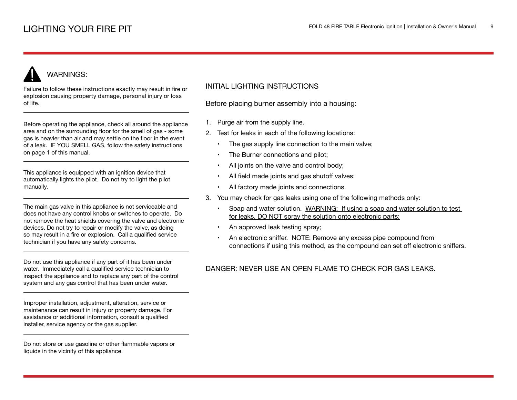Failure to follow these instructions exactly may result in fire or explosion causing property damage, personal injury or loss of life.

Before operating the appliance, check all around the appliance area and on the surrounding floor for the smell of gas - some gas is heavier than air and may settle on the floor in the event of a leak. IF YOU SMELL GAS, follow the safety instructions on page 1 of this manual.

This appliance is equipped with an ignition device that automatically lights the pilot. Do not try to light the pilot manually.

The main gas valve in this appliance is not serviceable and does not have any control knobs or switches to operate. Do not remove the heat shields covering the valve and electronic devices. Do not try to repair or modify the valve, as doing so may result in a fire or explosion. Call a qualified service technician if you have any safety concerns.

Do not use this appliance if any part of it has been under water. Immediately call a qualified service technician to inspect the appliance and to replace any part of the control system and any gas control that has been under water.

Improper installation, adjustment, alteration, service or maintenance can result in injury or property damage. For assistance or additional information, consult a qualified installer, service agency or the gas supplier.

Do not store or use gasoline or other flammable vapors or liquids in the vicinity of this appliance.

# INITIAL LIGHTING INSTRUCTIONS

Before placing burner assembly into a housing:

- 1. Purge air from the supply line.
- 2. Test for leaks in each of the following locations:
	- The gas supply line connection to the main valve;
	- The Burner connections and pilot;
	- All joints on the valve and control body;
	- All field made joints and gas shutoff valves;
	- All factory made joints and connections.
- 3. You may check for gas leaks using one of the following methods only:
	- Soap and water solution. WARNING: If using a soap and water solution to test for leaks, DO NOT spray the solution onto electronic parts;
	- An approved leak testing spray;
	- An electronic sniffer. NOTE: Remove any excess pipe compound from connections if using this method, as the compound can set off electronic sniffers.

# DANGER: NEVER USE AN OPEN FLAME TO CHECK FOR GAS LEAKS.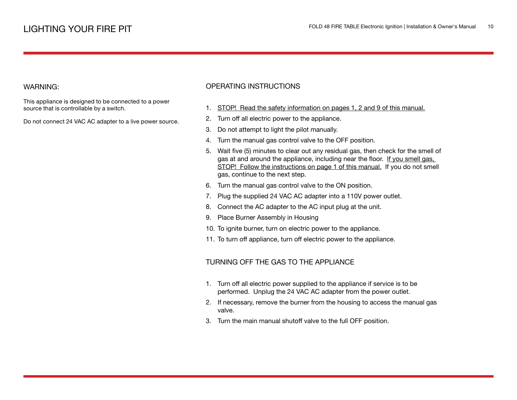This appliance is designed to be connected to a power source that is controllable by a switch.

Do not connect 24 VAC AC adapter to a live power source.

#### OPERATING INSTRUCTIONS

- 1. STOP! Read the safety information on pages 1, 2 and 9 of this manual.
- 2. Turn off all electric power to the appliance.
- 3. Do not attempt to light the pilot manually.
- 4. Turn the manual gas control valve to the OFF position.
- 5. Wait five (5) minutes to clear out any residual gas, then check for the smell of gas at and around the appliance, including near the floor. If you smell gas, STOP! Follow the instructions on page 1 of this manual. If you do not smell gas, continue to the next step.
- 6. Turn the manual gas control valve to the ON position.
- 7. Plug the supplied 24 VAC AC adapter into a 110V power outlet.
- 8. Connect the AC adapter to the AC input plug at the unit.
- 9. Place Burner Assembly in Housing
- 10. To ignite burner, turn on electric power to the appliance.
- 11. To turn off appliance, turn off electric power to the appliance.

#### TURNING OFF THE GAS TO THE APPLIANCE

- 1. Turn off all electric power supplied to the appliance if service is to be performed. Unplug the 24 VAC AC adapter from the power outlet.
- 2. If necessary, remove the burner from the housing to access the manual gas valve.
- 3. Turn the main manual shutoff valve to the full OFF position.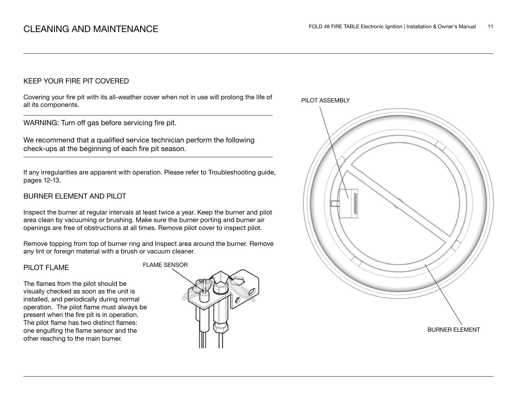## KEEP YOUR FIRE PIT COVERED

Covering your fire pit with its all-weather cover when not in use will prolong the life of all its components.

WARNING: Turn off gas before servicing fire pit.

We recommend that a qualified service technician perform the following check-ups at the beginning of each fire pit season.

If any irregularities are apparent with operation. Please refer to Troubleshooting guide, pages 12-13.

# BURNER ELEMENT AND PILOT

Inspect the burner at regular intervals at least twice a year. Keep the burner and pilot area clean by vacuuming or brushing. Make sure the burner porting and burner air openings are free of obstructions at all times. Remove pilot cover to inspect pilot.

Remove topping from top of burner ring and Inspect area around the burner. Remove any lint or foreign material with a brush or vacuum cleaner.

#### PILOT FLAME

The flames from the pilot should be visually checked as soon as the unit is installed, and periodically during normal operation. The pilot flame must always be present when the fire pit is in operation. The pilot flame has two distinct flames: one engulfing the flame sensor and the other reaching to the main burner.



PILOT ASSEMBLY

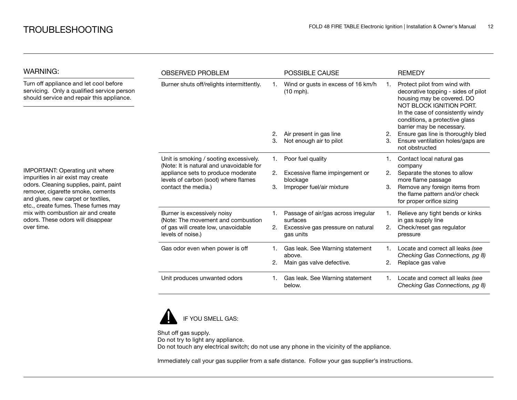| <b>WARNING:</b>                                                                                                                                          | <b>OBSERVED PROBLEM</b>                                                                                                                                          |    | <b>POSSIBLE CAUSE</b>                             |    | <b>REMEDY</b>                                                                                                                                                                                                                     |
|----------------------------------------------------------------------------------------------------------------------------------------------------------|------------------------------------------------------------------------------------------------------------------------------------------------------------------|----|---------------------------------------------------|----|-----------------------------------------------------------------------------------------------------------------------------------------------------------------------------------------------------------------------------------|
| Turn off appliance and let cool before<br>servicing. Only a qualified service person<br>should service and repair this appliance.                        | Burner shuts off/relights intermittently.                                                                                                                        |    | Wind or gusts in excess of 16 km/h<br>$(10$ mph). |    | Protect pilot from wind with<br>decorative topping - sides of pilot<br>housing may be covered. DO<br>NOT BLOCK IGNITION PORT.<br>In the case of consistently windy<br>conditions, a protective glass<br>barrier may be necessary. |
|                                                                                                                                                          |                                                                                                                                                                  | 2. | Air present in gas line                           | 2. | Ensure gas line is thoroughly bled                                                                                                                                                                                                |
|                                                                                                                                                          |                                                                                                                                                                  | 3. | Not enough air to pilot                           | 3. | Ensure ventilation holes/gaps are<br>not obstructed                                                                                                                                                                               |
|                                                                                                                                                          | Unit is smoking / sooting excessively.<br>(Note: It is natural and unavoidable for<br>appliance sets to produce moderate<br>levels of carbon (soot) where flames | 1. | Poor fuel quality                                 |    | Contact local natural gas<br>company                                                                                                                                                                                              |
| IMPORTANT: Operating unit where<br>impurities in air exist may create                                                                                    |                                                                                                                                                                  | 2. | Excessive flame impingement or<br>blockage        | 2. | Separate the stones to allow<br>more flame passage                                                                                                                                                                                |
| odors. Cleaning supplies, paint, paint<br>remover, cigarette smoke, cements<br>and glues, new carpet or textiles,<br>etc., create fumes. These fumes may | contact the media.)                                                                                                                                              | 3. | Improper fuel/air mixture                         | З. | Remove any foreign items from<br>the flame pattern and/or check<br>for proper orifice sizing                                                                                                                                      |
| mix with combustion air and create<br>odors. These odors will disappear                                                                                  | Burner is excessively noisy<br>(Note: The movement and combustion                                                                                                | 1. | Passage of air/gas across irregular<br>surfaces   |    | Relieve any tight bends or kinks<br>in gas supply line                                                                                                                                                                            |
| over time.                                                                                                                                               | of gas will create low, unavoidable<br>levels of noise.)                                                                                                         | 2. | Excessive gas pressure on natural<br>gas units    | 2. | Check/reset gas regulator<br>pressure                                                                                                                                                                                             |
|                                                                                                                                                          | Gas odor even when power is off                                                                                                                                  | 1. | Gas leak. See Warning statement<br>above.         |    | Locate and correct all leaks (see<br>Checking Gas Connections, pg 8)                                                                                                                                                              |
|                                                                                                                                                          |                                                                                                                                                                  | 2. | Main gas valve defective.                         | 2. | Replace gas valve                                                                                                                                                                                                                 |
|                                                                                                                                                          | Unit produces unwanted odors                                                                                                                                     | 1. | Gas leak. See Warning statement<br>below.         |    | Locate and correct all leaks (see<br>Checking Gas Connections, pg 8)                                                                                                                                                              |



Shut off gas supply. Do not try to light any appliance. Do not touch any electrical switch; do not use any phone in the vicinity of the appliance.

Immediately call your gas supplier from a safe distance. Follow your gas supplier's instructions.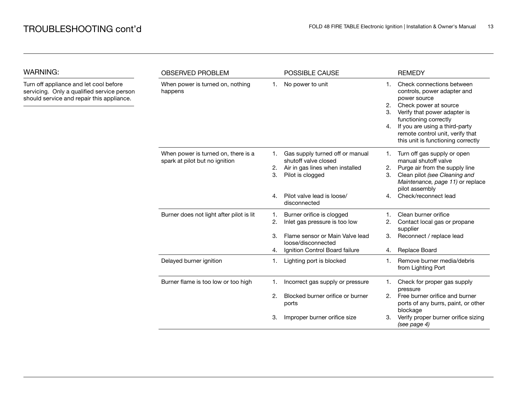| <b>WARNING:</b>                                                                                                                   | <b>OBSERVED PROBLEM</b>                                               |                      | POSSIBLE CAUSE                                                                                                                                               |                      | <b>REMEDY</b>                                                                                                                                                                                                                                                          |  |
|-----------------------------------------------------------------------------------------------------------------------------------|-----------------------------------------------------------------------|----------------------|--------------------------------------------------------------------------------------------------------------------------------------------------------------|----------------------|------------------------------------------------------------------------------------------------------------------------------------------------------------------------------------------------------------------------------------------------------------------------|--|
| Turn off appliance and let cool before<br>servicing. Only a qualified service person<br>should service and repair this appliance. | When power is turned on, nothing<br>happens                           | 1.                   | No power to unit                                                                                                                                             | 1.<br>2.<br>3.<br>4. | Check connections between<br>controls, power adapter and<br>power source<br>Check power at source<br>Verify that power adapter is<br>functioning correctly<br>If you are using a third-party<br>remote control unit, verify that<br>this unit is functioning correctly |  |
|                                                                                                                                   | When power is turned on, there is a<br>spark at pilot but no ignition | 1.<br>2.<br>3.<br>4. | Gas supply turned off or manual<br>shutoff valve closed<br>Air in gas lines when installed<br>Pilot is clogged<br>Pilot valve lead is loose/<br>disconnected | 1.<br>2.<br>3.<br>4. | Turn off gas supply or open<br>manual shutoff valve<br>Purge air from the supply line<br>Clean pilot (see Cleaning and<br>Maintenance, page 11) or replace<br>pilot assembly<br>Check/reconnect lead                                                                   |  |
|                                                                                                                                   | Burner does not light after pilot is lit                              | 1.<br>2.<br>З.<br>4. | Burner orifice is clogged<br>Inlet gas pressure is too low<br>Flame sensor or Main Valve lead<br>loose/disconnected<br>Ignition Control Board failure        | 2.<br>3.<br>4.       | Clean burner orifice<br>Contact local gas or propane<br>supplier<br>Reconnect / replace lead<br>Replace Board                                                                                                                                                          |  |
|                                                                                                                                   | Delayed burner ignition                                               | 1.                   | Lighting port is blocked                                                                                                                                     | 1.                   | Remove burner media/debris<br>from Lighting Port                                                                                                                                                                                                                       |  |
|                                                                                                                                   | Burner flame is too low or too high                                   | 1.<br>2.<br>3.       | Incorrect gas supply or pressure<br>Blocked burner orifice or burner<br>ports<br>Improper burner orifice size                                                | 1.<br>2.<br>3.       | Check for proper gas supply<br>pressure<br>Free burner orifice and burner<br>ports of any burrs, paint, or other<br>blockage<br>Verify proper burner orifice sizing<br>(see page 4)                                                                                    |  |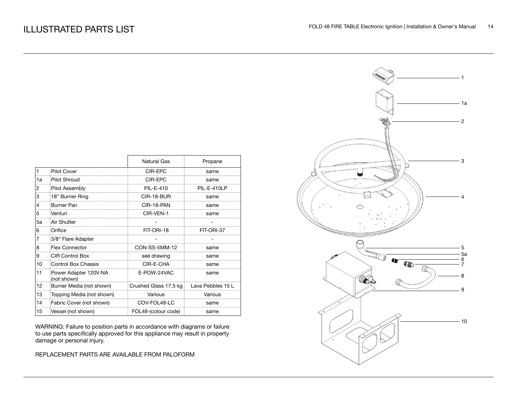|    |                                      | <b>Natural Gas</b>    | Propane           |
|----|--------------------------------------|-----------------------|-------------------|
| 1  | <b>Pilot Cover</b>                   | CIR-EPC               | same              |
| 1a | <b>Pilot Shroud</b>                  | CIR-EPC               | same              |
| 2  | Pilot Assembly                       | <b>PIL-E-410</b>      | PIL-E-410LP       |
| 3  | 18" Burner Ring                      | CIR-18-BUR            | same              |
| 4  | <b>Burner Pan</b>                    | CIR-18-PAN            | same              |
| 5  | Venturi                              | CIR-VEN-1             | same              |
| 5a | Air Shutter                          |                       |                   |
| 6  | Orifice                              | FIT-ORI-18            | FIT-ORI-37        |
| 7  | 3/8" Flare Adapter                   |                       |                   |
| 8  | <b>Flex Connector</b>                | CON-SS-5MM-12         | same              |
| 9  | <b>CIR Control Box</b>               | see drawing           | same              |
| 10 | <b>Control Box Chassis</b>           | CIR-E-CHA             | same              |
| 11 | Power Adapter 120V-NA<br>(not shown) | E-POW-24VAC           | same              |
| 12 | Burner Media (not shown)             | Crushed Glass 17.5 kg | Lava Pebbles 15 L |
| 13 | Topping Media (not shown)            | Various               | Various           |
| 14 | Fabric Cover (not shown)             | COV-FOL48-LC          | same              |
| 15 | Vessel (not shown)                   | FOL48-(colour code)   | same              |

WARNING: Failure to position parts in accordance with diagrams or failure to use parts specifically approved for this appliance may result in property damage or personal injury.

REPLACEMENT PARTS ARE AVAILABLE FROM PALOFORM

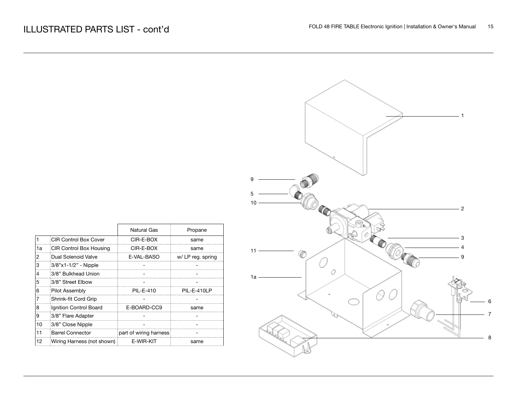|                       | $-1$                                             |                            |
|-----------------------|--------------------------------------------------|----------------------------|
|                       |                                                  |                            |
| $\boldsymbol{9}$<br>5 |                                                  |                            |
| $10 -$                | $-2$<br>ъ<br>- 3                                 |                            |
| $11 -$<br>₩           | $\overline{\mathbf{4}}$<br>$\boldsymbol{9}$<br>0 |                            |
| $1a -$                |                                                  | $\,6\,$                    |
|                       |                                                  | $\boldsymbol{7}$<br>$\bf8$ |

|    |                              | <b>Natural Gas</b>     | Propane           |
|----|------------------------------|------------------------|-------------------|
|    | <b>CIR Control Box Cover</b> | CIR-E-BOX              | same              |
| 1a | CIR Control Box Housing      | CIR-E-BOX              | same              |
| 2  | Dual Solenoid Valve          | E-VAL-BASO             | w/ LP reg. spring |
| 3  | 3/8"x1-1/2" - Nipple         |                        |                   |
| 4  | 3/8" Bulkhead Union          |                        |                   |
| 5  | 3/8" Street Elbow            |                        |                   |
| 6  | Pilot Assembly               | PII -F-410             | PIL-E-410LP       |
|    | Shrink-fit Cord Grip         |                        |                   |
| 8  | Ignition Control Board       | E-BOARD-CC9            | same              |
| 9  | 3/8" Flare Adapter           |                        |                   |
| 10 | 3/8" Close Nipple            |                        |                   |
| 11 | <b>Barrel Connector</b>      | part of wiring harness |                   |
| 12 | Wiring Harness (not shown)   | E-WIR-KIT              | same              |

 $\Gamma$ 

F.

┑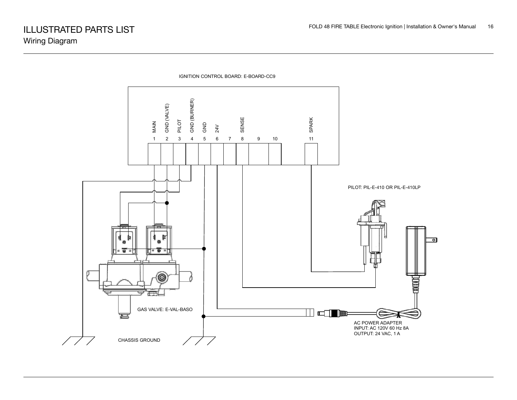

IGNITION CONTROL BOARD: E-BOARD-CC9